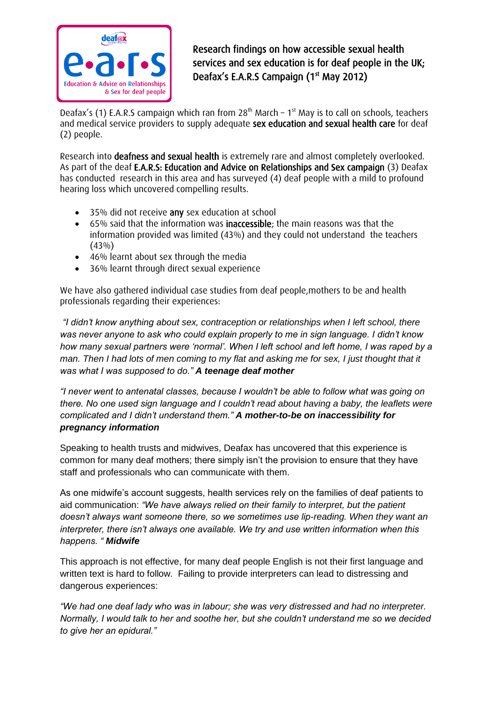

Research findings on how accessible sexual health services and sex education is for deaf people in the UK; Deafax's E.A.R.S Campaign (1<sup>st</sup> May 2012)

Deafax's (1) E.A.R.S campaign which ran from  $28<sup>th</sup>$  March – 1<sup>st</sup> May is to call on schools, teachers and medical service providers to supply adequate sex education and sexual health care for deaf (2) people.

Research into deafness and sexual health is extremely rare and almost completely overlooked. As part of the deaf E.A.R.S: Education and Advice on Relationships and Sex campaign (3) Deafax has conducted research in this area and has surveyed (4) deaf people with a mild to profound hearing loss which uncovered compelling results.

- 35% did not receive any sex education at school
- 65% said that the information was **inaccessible**; the main reasons was that the information provided was limited (43%) and they could not understand the teachers  $(43\%)$
- 46% learnt about sex through the media
- 36% learnt through direct sexual experience

We have also gathered individual case studies from deaf people,mothers to be and health professionals regarding their experiences:

*"I didn't know anything about sex, contraception or relationships when I left school, there was never anyone to ask who could explain properly to me in sign language. I didn't know how many sexual partners were 'normal'. When I left school and left home, I was raped by a man. Then I had lots of men coming to my flat and asking me for sex, I just thought that it was what I was supposed to do." A teenage deaf mother*

*"I never went to antenatal classes, because I wouldn't be able to follow what was going on there. No one used sign language and I couldn't read about having a baby, the leaflets were complicated and I didn't understand them." A mother-to-be on inaccessibility for pregnancy information*

Speaking to health trusts and midwives, Deafax has uncovered that this experience is common for many deaf mothers; there simply isn't the provision to ensure that they have staff and professionals who can communicate with them.

As one midwife's account suggests, health services rely on the families of deaf patients to aid communication: *"We have always relied on their family to interpret, but the patient doesn't always want someone there, so we sometimes use lip-reading. When they want an interpreter, there isn't always one available. We try and use written information when this happens. " Midwife*

This approach is not effective, for many deaf people English is not their first language and written text is hard to follow. Failing to provide interpreters can lead to distressing and dangerous experiences:

*"We had one deaf lady who was in labour; she was very distressed and had no interpreter. Normally, I would talk to her and soothe her, but she couldn't understand me so we decided to give her an epidural."*